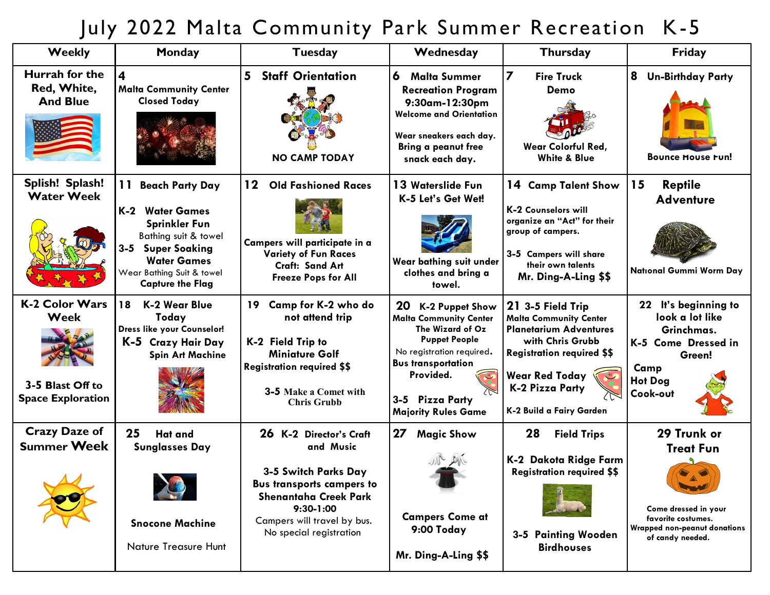## July 2022 Malta Community Park Summer Recreation K-5

| <b>Weekly</b>                                                                 | Monday                                                                                                                                                                                                 | <b>Tuesday</b>                                                                                                                                                                                            | Wednesday                                                                                                                                                                                                                         | <b>Thursday</b>                                                                                                                                                                                                      | Friday                                                                                                                                   |
|-------------------------------------------------------------------------------|--------------------------------------------------------------------------------------------------------------------------------------------------------------------------------------------------------|-----------------------------------------------------------------------------------------------------------------------------------------------------------------------------------------------------------|-----------------------------------------------------------------------------------------------------------------------------------------------------------------------------------------------------------------------------------|----------------------------------------------------------------------------------------------------------------------------------------------------------------------------------------------------------------------|------------------------------------------------------------------------------------------------------------------------------------------|
| Hurrah for the<br>Red, White,<br><b>And Blue</b>                              | 4<br><b>Malta Community Center</b><br><b>Closed Today</b>                                                                                                                                              | 5<br><b>Staff Orientation</b><br><b>NO CAMP TODAY</b>                                                                                                                                                     | 6<br><b>Malta Summer</b><br><b>Recreation Program</b><br>9:30am-12:30pm<br><b>Welcome and Orientation</b><br>Wear sneakers each day.<br><b>Bring a peanut free</b><br>snack each day.                                             | $\overline{z}$<br><b>Fire Truck</b><br>Demo<br><b>Wear Colorful Red,</b><br><b>White &amp; Blue</b>                                                                                                                  | 8<br><b>Un-Birthday Party</b><br><b>Bounce House Fun!</b>                                                                                |
| Splish! Splash!<br><b>Water Week</b>                                          | <b>Beach Party Day</b><br>K-2<br><b>Water Games</b><br><b>Sprinkler Fun</b><br>Bathing suit & towel<br>3-5 Super Soaking<br><b>Water Games</b><br>Wear Bathing Suit & towel<br><b>Capture the Flag</b> | $12 \,$<br><b>Old Fashioned Races</b><br>Campers will participate in a<br><b>Variety of Fun Races</b><br>Craft: Sand Art<br><b>Freeze Pops for All</b>                                                    | 13 Waterslide Fun<br>K-5 Let's Get Wet!<br>Wear bathing suit under<br>clothes and bring a<br>towel.                                                                                                                               | 14 Camp Talent Show<br><b>K-2 Counselors will</b><br>organize an "Act" for their<br>group of campers.<br>3-5 Campers will share<br>their own talents<br>Mr. Ding-A-Ling \$\$                                         | 15<br><b>Reptile</b><br><b>Adventure</b><br><b>National Gummi Worm Day</b>                                                               |
| <b>K-2 Color Wars</b><br>Week<br>3-5 Blast Off to<br><b>Space Exploration</b> | 18<br><b>K-2 Wear Blue</b><br>Today<br>Dress like your Counselor!<br>K-5 Crazy Hair Day<br><b>Spin Art Machine</b>                                                                                     | Camp for K-2 who do<br>19<br>not attend trip<br>K-2 Field Trip to<br><b>Miniature Golf</b><br><b>Registration required \$\$</b><br>3-5 Make a Comet with<br><b>Chris Grubb</b>                            | 20<br><b>K-2 Puppet Show</b><br><b>Malta Community Center</b><br>The Wizard of Oz<br><b>Puppet People</b><br>No registration required.<br><b>Bus transportation</b><br>Provided.<br>3-5 Pizza Party<br><b>Majority Rules Game</b> | 21 3-5 Field Trip<br><b>Malta Community Center</b><br><b>Planetarium Adventures</b><br>with Chris Grubb<br><b>Registration required \$\$</b><br>Wear Red Today<br><b>K-2 Pizza Party</b><br>K-2 Build a Fairy Garden | 22 It's beginning to<br>look a lot like<br>Grinchmas.<br>K-5 Come Dressed in<br>Green!<br>Camp<br><b>Hot Dog</b><br>Cook-out             |
| <b>Crazy Daze of</b><br><b>Summer Week</b><br>$\mathbf{A}$                    | 25<br><b>Hat and</b><br><b>Sunglasses Day</b><br><b>Snocone Machine</b><br>Nature Treasure Hunt                                                                                                        | 26 K-2 Director's Craft<br>and Music<br>3-5 Switch Parks Day<br><b>Bus transports campers to</b><br><b>Shenantaha Creek Park</b><br>$9:30-1:00$<br>Campers will travel by bus.<br>No special registration | 27<br><b>Magic Show</b><br><b>Campers Come at</b><br>9:00 Today<br>Mr. Ding-A-Ling \$\$                                                                                                                                           | 28<br><b>Field Trips</b><br>K-2 Dakota Ridge Farm<br><b>Registration required \$\$</b><br>3-5 Painting Wooden<br><b>Birdhouses</b>                                                                                   | 29 Trunk or<br><b>Treat Fun</b><br>Come dressed in your<br>favorite costumes.<br><b>Wrapped non-peanut donations</b><br>of candy needed. |